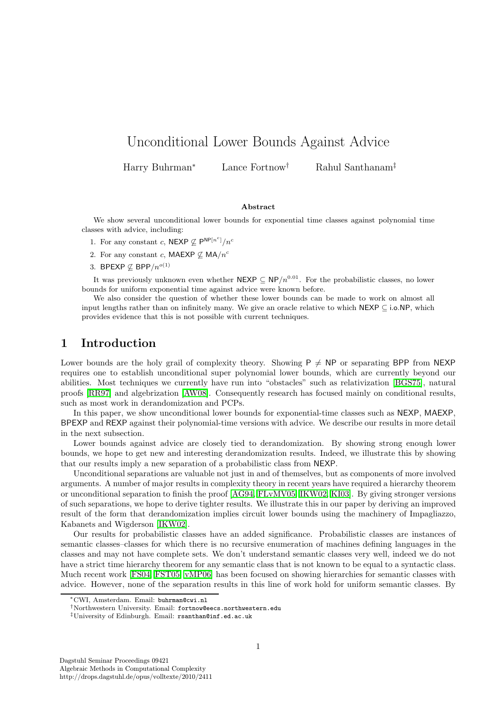# Unconditional Lower Bounds Against Advice

Harry Buhrman<sup>∗</sup> Lance Fortnow† Rahul Santhanam‡

#### Abstract

We show several unconditional lower bounds for exponential time classes against polynomial time classes with advice, including:

- 1. For any constant c, NEXP  $\nsubseteq \mathsf{P}^{\mathsf{NP}[n^c]}/n^c$
- 2. For any constant c, MAEXP  $\not\subseteq$  MA/n<sup>c</sup>
- 3. BPEXP  $\not\subseteq$  BPP/ $n^{o(1)}$

It was previously unknown even whether NEXP  $\subseteq$  NP/ $n^{0.01}$ . For the probabilistic classes, no lower bounds for uniform exponential time against advice were known before.

We also consider the question of whether these lower bounds can be made to work on almost all input lengths rather than on infinitely many. We give an oracle relative to which  $NEXP \subset i.o.NP$ , which provides evidence that this is not possible with current techniques.

## 1 Introduction

Lower bounds are the holy grail of complexity theory. Showing  $P \neq NP$  or separating BPP from NEXP requires one to establish unconditional super polynomial lower bounds, which are currently beyond our abilities. Most techniques we currently have run into "obstacles" such as relativization [\[BGS75\]](#page-9-0), natural proofs [\[RR97\]](#page-10-0) and algebrization [\[AW08\]](#page-9-1). Consequently research has focused mainly on conditional results, such as most work in derandomization and PCPs.

In this paper, we show unconditional lower bounds for exponential-time classes such as NEXP, MAEXP. BPEXP and REXP against their polynomial-time versions with advice. We describe our results in more detail in the next subsection.

Lower bounds against advice are closely tied to derandomization. By showing strong enough lower bounds, we hope to get new and interesting derandomization results. Indeed, we illustrate this by showing that our results imply a new separation of a probabilistic class from NEXP.

Unconditional separations are valuable not just in and of themselves, but as components of more involved arguments. A number of major results in complexity theory in recent years have required a hierarchy theorem or unconditional separation to finish the proof [\[AG94,](#page-9-2) [FLvMV05,](#page-9-3) [IKW02,](#page-10-1) [KI03\]](#page-10-2). By giving stronger versions of such separations, we hope to derive tighter results. We illustrate this in our paper by deriving an improved result of the form that derandomization implies circuit lower bounds using the machinery of Impagliazzo, Kabanets and Wigderson [\[IKW02\]](#page-10-1).

Our results for probabilistic classes have an added significance. Probabilistic classes are instances of semantic classes–classes for which there is no recursive enumeration of machines defining languages in the classes and may not have complete sets. We don't understand semantic classes very well, indeed we do not have a strict time hierarchy theorem for any semantic class that is not known to be equal to a syntactic class. Much recent work [\[FS04,](#page-9-4) [FST05,](#page-9-5) [vMP06\]](#page-10-3) has been focused on showing hierarchies for semantic classes with advice. However, none of the separation results in this line of work hold for uniform semantic classes. By

<sup>∗</sup>CWI, Amsterdam. Email: buhrman@cwi.nl

<sup>†</sup>Northwestern University. Email: fortnow@eecs.northwestern.edu

<sup>‡</sup>University of Edinburgh. Email: rsanthan@inf.ed.ac.uk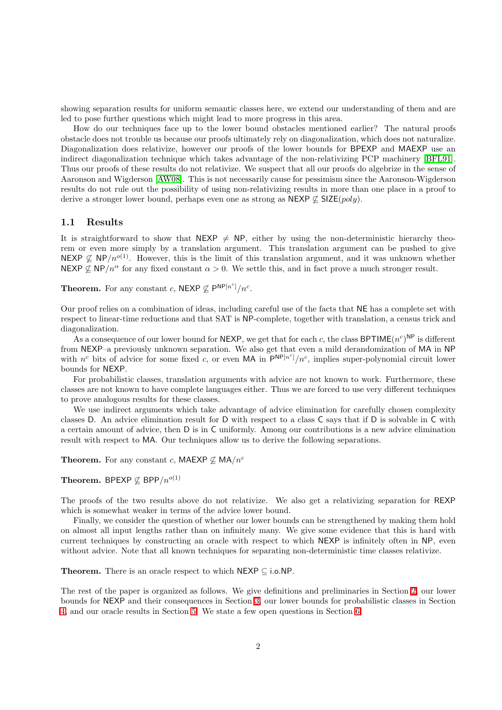showing separation results for uniform semantic classes here, we extend our understanding of them and are led to pose further questions which might lead to more progress in this area.

How do our techniques face up to the lower bound obstacles mentioned earlier? The natural proofs obstacle does not trouble us because our proofs ultimately rely on diagonalization, which does not naturalize. Diagonalization does relativize, however our proofs of the lower bounds for BPEXP and MAEXP use an indirect diagonalization technique which takes advantage of the non-relativizing PCP machinery [\[BFL91\]](#page-9-6). Thus our proofs of these results do not relativize. We suspect that all our proofs do algebrize in the sense of Aaronson and Wigderson [\[AW08\]](#page-9-1). This is not necessarily cause for pessimism since the Aaronson-Wigderson results do not rule out the possibility of using non-relativizing results in more than one place in a proof to derive a stronger lower bound, perhaps even one as strong as NEXP  $\nsubseteq$  SIZE(poly).

#### 1.1 Results

It is straightforward to show that NEXP  $\neq$  NP, either by using the non-deterministic hierarchy theorem or even more simply by a translation argument. This translation argument can be pushed to give NEXP  $\not\subset$  NP/n<sup>o(1)</sup>. However, this is the limit of this translation argument, and it was unknown whether NEXP  $\nsubseteq$  NP/n<sup> $\alpha$ </sup> for any fixed constant  $\alpha > 0$ . We settle this, and in fact prove a much stronger result.

**Theorem.** For any constant c,  $NEXP \nsubseteq P^{NP[n^c]}/n^c$ .

Our proof relies on a combination of ideas, including careful use of the facts that NE has a complete set with respect to linear-time reductions and that SAT is NP-complete, together with translation, a census trick and diagonalization.

As a consequence of our lower bound for NEXP, we get that for each c, the class BPTIME $(n^c)^{\text{NP}}$  is different from NEXP–a previously unknown separation. We also get that even a mild derandomization of MA in NP with  $n^c$  bits of advice for some fixed c, or even MA in  $\mathsf{P}^{\mathsf{NP}[n^c]}/n^c$ , implies super-polynomial circuit lower bounds for NEXP.

For probabilistic classes, translation arguments with advice are not known to work. Furthermore, these classes are not known to have complete languages either. Thus we are forced to use very different techniques to prove analogous results for these classes.

We use indirect arguments which take advantage of advice elimination for carefully chosen complexity classes D. An advice elimination result for D with respect to a class C says that if D is solvable in C with a certain amount of advice, then D is in C uniformly. Among our contributions is a new advice elimination result with respect to MA. Our techniques allow us to derive the following separations.

**Theorem.** For any constant c, MAEXP  $\nsubseteq$  MA/n<sup>c</sup>

**Theorem.** BPEXP  $\nsubseteq$  BPP/ $n^{o(1)}$ 

The proofs of the two results above do not relativize. We also get a relativizing separation for REXP which is somewhat weaker in terms of the advice lower bound.

Finally, we consider the question of whether our lower bounds can be strengthened by making them hold on almost all input lengths rather than on infinitely many. We give some evidence that this is hard with current techniques by constructing an oracle with respect to which NEXP is infinitely often in NP, even without advice. Note that all known techniques for separating non-deterministic time classes relativize.

Theorem. There is an oracle respect to which  $NEXP \subset i.o.NP$ .

The rest of the paper is organized as follows. We give definitions and preliminaries in Section [2,](#page-2-0) our lower bounds for NEXP and their consequences in Section [3,](#page-2-1) our lower bounds for probabilistic classes in Section [4,](#page-5-0) and our oracle results in Section [5.](#page-7-0) We state a few open questions in Section [6.](#page-9-7)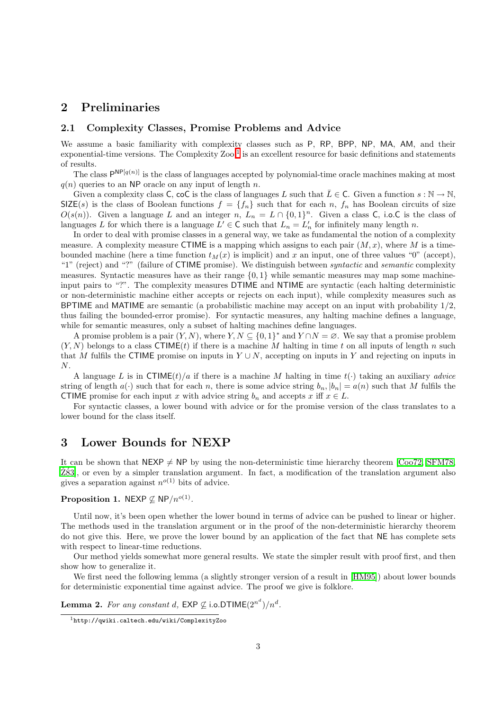## <span id="page-2-0"></span>2 Preliminaries

### 2.1 Complexity Classes, Promise Problems and Advice

We assume a basic familiarity with complexity classes such as P, RP, BPP, NP, MA, AM, and their  $exponential-time versions.$  The Complexity  $Zoo<sup>1</sup>$  $Zoo<sup>1</sup>$  $Zoo<sup>1</sup>$  is an excellent resource for basic definitions and statements of results.

The class  $P^{NP[q(n)]}$  is the class of languages accepted by polynomial-time oracle machines making at most  $q(n)$  queries to an NP oracle on any input of length n.

Given a complexity class C, coC is the class of languages L such that  $\overline{L} \in \mathsf{C}$ . Given a function  $s : \mathbb{N} \to \mathbb{N}$ ,  $SIZE(s)$  is the class of Boolean functions  $f = \{f_n\}$  such that for each n,  $f_n$  has Boolean circuits of size  $O(s(n))$ . Given a language L and an integer n,  $L_n = L \cap \{0,1\}^n$ . Given a class C, i.o.C is the class of languages L for which there is a language  $L' \in \mathsf{C}$  such that  $L_n = L'_n$  for infinitely many length n.

In order to deal with promise classes in a general way, we take as fundamental the notion of a complexity measure. A complexity measure CTIME is a mapping which assigns to each pair  $(M, x)$ , where M is a timebounded machine (here a time function  $t_M(x)$  is implicit) and x an input, one of three values "0" (accept), "1" (reject) and "?" (failure of CTIME promise). We distinguish between *syntactic* and *semantic* complexity measures. Syntactic measures have as their range  $\{0, 1\}$  while semantic measures may map some machineinput pairs to "?". The complexity measures DTIME and NTIME are syntactic (each halting deterministic or non-deterministic machine either accepts or rejects on each input), while complexity measures such as BPTIME and MATIME are semantic (a probabilistic machine may accept on an input with probability 1/2, thus failing the bounded-error promise). For syntactic measures, any halting machine defines a language, while for semantic measures, only a subset of halting machines define languages.

A promise problem is a pair  $(Y, N)$ , where  $Y, N \subseteq \{0, 1\}^*$  and  $Y \cap N = \emptyset$ . We say that a promise problem  $(Y, N)$  belongs to a class CTIME(t) if there is a machine M halting in time t on all inputs of length n such that M fulfils the CTIME promise on inputs in  $Y \cup N$ , accepting on inputs in Y and rejecting on inputs in N.

A language L is in CTIME(t)/a if there is a machine M halting in time  $t(\cdot)$  taking an auxiliary advice string of length  $a(\cdot)$  such that for each n, there is some advice string  $b_n$ ,  $|b_n| = a(n)$  such that M fulfils the CTIME promise for each input x with advice string  $b_n$  and accepts x iff  $x \in L$ .

For syntactic classes, a lower bound with advice or for the promise version of the class translates to a lower bound for the class itself.

## <span id="page-2-1"></span>3 Lower Bounds for NEXP

It can be shown that  $NEXP \neq NP$  by using the non-deterministic time hierarchy theorem [\[Coo72,](#page-9-8) [SFM78,](#page-10-4)  $Z^{83}$ , or even by a simpler translation argument. In fact, a modification of the translation argument also gives a separation against  $n^{o(1)}$  bits of advice.

### **Proposition 1.** NEXP  $\nsubseteq$  NP/ $n^{o(1)}$ .

Until now, it's been open whether the lower bound in terms of advice can be pushed to linear or higher. The methods used in the translation argument or in the proof of the non-deterministic hierarchy theorem do not give this. Here, we prove the lower bound by an application of the fact that NE has complete sets with respect to linear-time reductions.

Our method yields somewhat more general results. We state the simpler result with proof first, and then show how to generalize it.

<span id="page-2-3"></span>We first need the following lemma (a slightly stronger version of a result in  $[HM95]$ ) about lower bounds for deterministic exponential time against advice. The proof we give is folklore.

<span id="page-2-2"></span>**Lemma 2.** For any constant d,  $\mathsf{EXP} \not\subseteq \mathsf{i.o.DTIME}(2^{n^d})/n^d$ .

<sup>1</sup>http://qwiki.caltech.edu/wiki/ComplexityZoo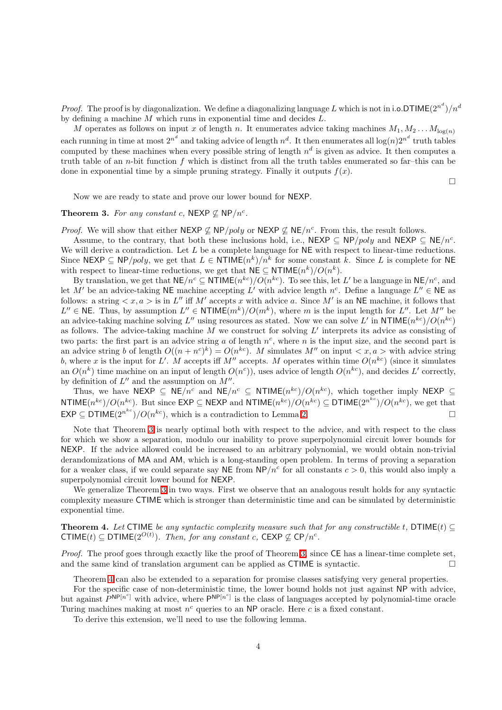*Proof.* The proof is by diagonalization. We define a diagonalizing language L which is not in i.o.DTIME $(2^{n^d})/n^d$ by defining a machine M which runs in exponential time and decides L.

M operates as follows on input x of length n. It enumerates advice taking machines  $M_1, M_2 \ldots M_{\log(n)}$ each running in time at most  $2^{n^d}$  and taking advice of length  $n^d$ . It then enumerates all  $\log(n)2^{n^d}$  truth tables computed by these machines when every possible string of length  $n^d$  is given as advice. It then computes a truth table of an *n*-bit function  $f$  which is distinct from all the truth tables enumerated so far–this can be done in exponential time by a simple pruning strategy. Finally it outputs  $f(x)$ .

 $\Box$ 

Now we are ready to state and prove our lower bound for NEXP.

### <span id="page-3-0"></span>Theorem 3. For any constant c, NEXP  $\nsubseteq$  NP/n<sup>c</sup>.

*Proof.* We will show that either  $NEXP \nsubseteq NP/poly$  or  $NEXP \nsubseteq NE/n^c$ . From this, the result follows.

Assume, to the contrary, that both these inclusions hold, i.e., NEXP  $\subseteq$  NP/poly and NEXP  $\subseteq$  NE/n<sup>c</sup>. We will derive a contradiction. Let  $L$  be a complete language for  $NE$  with respect to linear-time reductions. Since NEXP  $\subseteq$  NP/poly, we get that  $L \in \text{NTIME}(n^k)/n^k$  for some constant k. Since L is complete for NE with respect to linear-time reductions, we get that  $N \in \text{S}$   $\text{NTIME}(n^k) / O(n^k)$ .

By translation, we get that  $NE/n^c \subseteq NTIME(n^{kc})/O(n^{kc})$ . To see this, let L' be a language in  $NE/n^c$ , and let M' be an advice-taking NE machine accepting L' with advice length  $n^c$ . Define a language  $L'' \in \mathsf{NE}$  as follows: a string  $\langle x, a \rangle$  is in L'' iff M' accepts x with advice a. Since M' is an NE machine, it follows that  $L'' \in \mathsf{NE}.$  Thus, by assumption  $L'' \in \mathsf{NTIME}(m^k)/O(m^k)$ , where m is the input length for  $L''$ . Let  $M''$  be an advice-taking machine solving L'' using resources as stated. Now we can solve L' in NTIME $(n^{kc})/O(n^{kc})$ as follows. The advice-taking machine  $\tilde{M}$  we construct for solving  $L'$  interprets its advice as consisting of two parts: the first part is an advice string a of length  $n^c$ , where n is the input size, and the second part is an advice string b of length  $O((n + n^c)^k) = O(n^{kc})$ . M simulates M'' on input  $\langle x, a \rangle$  with advice string b, where x is the input for L'. M accepts iff  $M''$  accepts. M operates within time  $O(n^{kc})$  (since it simulates an  $O(n^k)$  time machine on an input of length  $O(n^c)$ , uses advice of length  $O(n^{kc})$ , and decides L' correctly, by definition of  $L''$  and the assumption on  $M''$ .

Thus, we have NEXP  $\subseteq$  NE/n<sup>c</sup> and NE/n<sup>c</sup>  $\subseteq$  NTIME(n<sup>kc</sup>)/ $O(n^{kc})$ , which together imply NEXP  $\subseteq$ NTIME $(n^{kc})/O(n^{kc})$ . But since  $\textsf{EXP} \subseteq \textsf{NEXP}$  and  $\textsf{NTIME}(n^{kc})/O(n^{kc}) \subseteq \textsf{DTIME}(2^{n^{kc}})/O(n^{kc})$ , we get that  $\mathsf{EXP} \subseteq \mathsf{DTIME}(2^{n^{kc}})/O(n^{kc}),$  which is a contradiction to Lemma [2.](#page-2-3)

Note that Theorem [3](#page-3-0) is nearly optimal both with respect to the advice, and with respect to the class for which we show a separation, modulo our inability to prove superpolynomial circuit lower bounds for NEXP. If the advice allowed could be increased to an arbitrary polynomial, we would obtain non-trivial derandomizations of MA and AM, which is a long-standing open problem. In terms of proving a separation for a weaker class, if we could separate say NE from  $NP/n^c$  for all constants  $c > 0$ , this would also imply a superpolynomial circuit lower bound for NEXP.

We generalize Theorem [3](#page-3-0) in two ways. First we observe that an analogous result holds for any syntactic complexity measure CTIME which is stronger than deterministic time and can be simulated by deterministic exponential time.

<span id="page-3-1"></span>**Theorem 4.** Let CTIME be any syntactic complexity measure such that for any constructible t, DTIME(t)  $\subseteq$ CTIME(t) ⊆ DTIME( $2^{O(t)}$ ). Then, for any constant c, CEXP ⊈ CP/n<sup>c</sup>.

Proof. The proof goes through exactly like the proof of Theorem [3,](#page-3-0) since CE has a linear-time complete set, and the same kind of translation argument can be applied as CTIME is syntactic.

Theorem [4](#page-3-1) can also be extended to a separation for promise classes satisfying very general properties.

<span id="page-3-2"></span>For the specific case of non-deterministic time, the lower bound holds not just against NP with advice, but against  $P^{NP[n^c]}$  with advice, where  $P^{NP[n^c]}$  is the class of languages accepted by polynomial-time oracle Turing machines making at most  $n^c$  queries to an NP oracle. Here c is a fixed constant.

To derive this extension, we'll need to use the following lemma.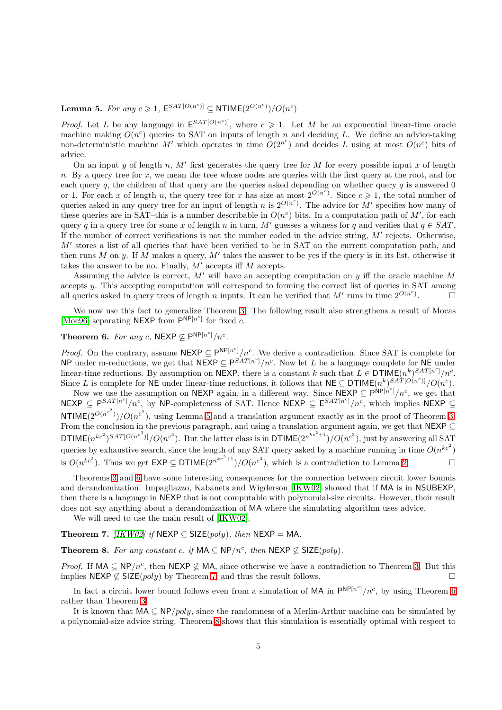Lemma 5. For any  $c \geq 1$ ,  $\mathsf{E}^{SAT[O(n^c)]} \subseteq \mathsf{NTIME}(2^{O(n^c)})/O(n^c)$ 

*Proof.* Let L be any language in  $E^{SAT[O(n^c)]}$ , where  $c \geq 1$ . Let M be an exponential linear-time oracle machine making  $O(n^c)$  queries to SAT on inputs of length n and deciding L. We define an advice-taking non-deterministic machine M' which operates in time  $O(2^{n^c})$  and decides L using at most  $O(n^c)$  bits of advice.

On an input y of length n,  $M'$  first generates the query tree for M for every possible input x of length n. By a query tree for x, we mean the tree whose nodes are queries with the first query at the root, and for each query q, the children of that query are the queries asked depending on whether query q is answered 0 or 1. For each x of length n, the query tree for x has size at most  $2^{O(n^c)}$ . Since  $c \geq 1$ , the total number of queries asked in any query tree for an input of length n is  $2^{O(n^c)}$ . The advice for M' specifies how many of these queries are in SAT-this is a number describable in  $O(n^c)$  bits. In a computation path of M', for each query q in a query tree for some x of length n in turn, M' guesses a witness for q and verifies that  $q \in SAT$ . If the number of correct verifications is not the number coded in the advice string,  $M'$  rejects. Otherwise, M' stores a list of all queries that have been verified to be in SAT on the current computation path, and then runs M on y. If M makes a query, M' takes the answer to be yes if the query is in its list, otherwise it takes the answer to be no. Finally,  $M'$  accepts iff  $M$  accepts.

Assuming the advice is correct,  $M'$  will have an accepting computation on y iff the oracle machine M accepts y. This accepting computation will correspond to forming the correct list of queries in SAT among all queries asked in query trees of length n inputs. It can be verified that M' runs in time  $2^{O(n^c)}$  $\Box$ 

<span id="page-4-0"></span>We now use this fact to generalize Theorem [3.](#page-3-0) The following result also strengthens a result of Mocas [\[Moc96\]](#page-10-6) separating NEXP from  $P^{NP[n^c]}$  for fixed c.

Theorem 6. For any c, NEXP  $\nsubseteq \mathsf{P}^{\mathsf{NP}[n^c]}/n^c$ .

*Proof.* On the contrary, assume  $NEXP \subseteq P^{NP[n^c]}/n^c$ . We derive a contradiction. Since SAT is complete for NP under m-reductions, we get that  $N \in \mathsf{XPP} \subseteq \mathsf{P}^{S'AT[n^c]}/n^c$ . Now let L be a language complete for NE under linear-time reductions. By assumption on NEXP, there is a constant k such that  $L \in \mathsf{DTIME}(n^k)^{SAT[n^c]} / n^c$ . Since L is complete for NE under linear-time reductions, it follows that  $NE \subseteq DTIME(n^k)^{SA^T[O(n^c)]}/O(n^c)$ .

Now we use the assumption on NEXP again, in a different way. Since  $\overline{\sf NEXP} \subseteq \overline{\sf P}^{\sf NP}[n^c]/n^c$ , we get that NEXP  $\subseteq P^{SAT[n^c]}/n^c$ , by NP-completeness of SAT. Hence NEXP  $\subseteq E^{SAT[n^c]}/n^c$ , which implies NEXP  $\subseteq$ NTIME $(2^{O(n^{c^2})})/O(n^{c^2})$ , using Lemma [5](#page-3-2) and a translation argument exactly as in the proof of Theorem [3.](#page-3-0) From the conclusion in the previous paragraph, and using a translation argument again, we get that NEXP  $\subseteq$ DTIME $(n^{kc^2})^{SAT[O(n^{c^3})]}/O(n^{c^3})$ . But the latter class is in DTIME $(2^{n^{kc^2+1}})/O(n^{c^3})$ , just by answering all SAT queries by exhaustive search, since the length of any SAT query asked by a machine running in time  $O(n^{kc^2})$ is  $O(n^{kc^2})$ . Thus we get  $\textsf{EXP} \subseteq \textsf{DTIME}(2^{n^{kc^2+1}})/O(n^{c^3})$ , which is a contradiction to Lemma [2.](#page-2-3)

Theorems [3](#page-3-0) and [6](#page-4-0) have some interesting consequences for the connection between circuit lower bounds and derandomization. Impagliazzo, Kabanets and Wigderson [\[IKW02\]](#page-10-1) showed that if MA is in NSUBEXP, then there is a language in NEXP that is not computable with polynomial-size circuits. However, their result does not say anything about a derandomization of MA where the simulating algorithm uses advice.

We will need to use the main result of [\[IKW02\]](#page-10-1).

<span id="page-4-2"></span><span id="page-4-1"></span>Theorem 7. [\[IKW02\]](#page-10-1) if NEXP  $\subseteq$  SIZE(poly), then NEXP = MA.

**Theorem 8.** For any constant c, if  $MA \subseteq NP/n^c$ , then  $NEXP \nsubseteq SIZE(poly)$ .

*Proof.* If MA  $\subseteq$  NP/n<sup>c</sup>, then NEXP  $\nsubseteq$  MA, since otherwise we have a contradiction to Theorem [3.](#page-3-0) But this implies NEXP  $\nsubseteq$  SIZE(*poly*) by Theorem [7,](#page-4-1) and thus the result follows.

In fact a circuit lower bound follows even from a simulation of MA in  $P^{NP[n^c]}/n^c$ , by using Theorem [6](#page-4-0) rather than Theorem [3.](#page-3-0)

It is known that  $MA \subseteq NP/poly$ , since the randomness of a Merlin-Arthur machine can be simulated by a polynomial-size advice string. Theorem [8](#page-4-2) shows that this simulation is essentially optimal with respect to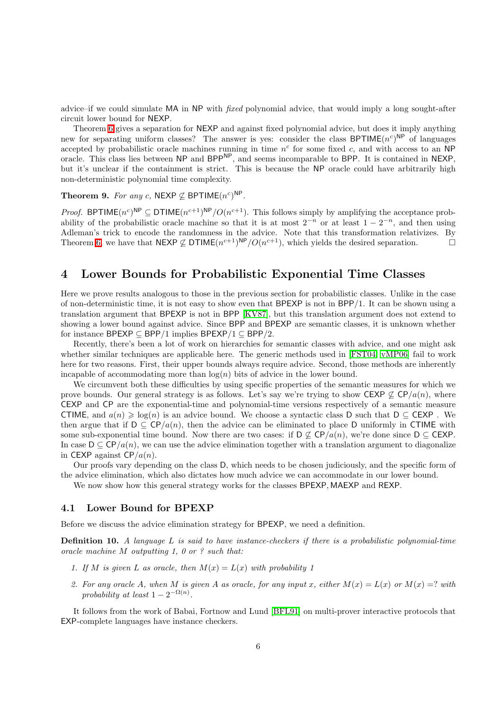advice–if we could simulate MA in NP with fixed polynomial advice, that would imply a long sought-after circuit lower bound for NEXP.

Theorem [6](#page-4-0) gives a separation for NEXP and against fixed polynomial advice, but does it imply anything new for separating uniform classes? The answer is yes: consider the class BPTIME $(n<sup>c</sup>)^{NP}$  of languages accepted by probabilistic oracle machines running in time  $n^c$  for some fixed c, and with access to an NP oracle. This class lies between NP and BPPNP, and seems incomparable to BPP. It is contained in NEXP, but it's unclear if the containment is strict. This is because the NP oracle could have arbitrarily high non-deterministic polynomial time complexity.

Theorem 9. For any c, NEXP  $\nsubseteq$  BPTIME $(n^c)^{NP}$ .

*Proof.* BPTIME $(n^c)^{\text{NP}} \subseteq \text{DTIME}(n^{c+1})^{\text{NP}}/O(n^{c+1})$ . This follows simply by amplifying the acceptance probability of the probabilistic oracle machine so that it is at most  $2^{-n}$  or at least  $1 - 2^{-n}$ , and then using Adleman's trick to encode the randomness in the advice. Note that this transformation relativizes. By Theorem [6,](#page-4-0) we have that  $NEXP \nsubseteq DTIME(n^{c+1})^{NP}/O(n^{c+1})$ , which yields the desired separation.

## <span id="page-5-0"></span>4 Lower Bounds for Probabilistic Exponential Time Classes

Here we prove results analogous to those in the previous section for probabilistic classes. Unlike in the case of non-deterministic time, it is not easy to show even that BPEXP is not in BPP/1. It can be shown using a translation argument that BPEXP is not in BPP [\[KV87\]](#page-10-7), but this translation argument does not extend to showing a lower bound against advice. Since BPP and BPEXP are semantic classes, it is unknown whether for instance BPEXP  $\subseteq$  BPP/1 implies BPEXP/1  $\subseteq$  BPP/2.

Recently, there's been a lot of work on hierarchies for semantic classes with advice, and one might ask whether similar techniques are applicable here. The generic methods used in [\[FST04,](#page-9-10) [vMP06\]](#page-10-3) fail to work here for two reasons. First, their upper bounds always require advice. Second, those methods are inherently incapable of accommodating more than  $log(n)$  bits of advice in the lower bound.

We circumvent both these difficulties by using specific properties of the semantic measures for which we prove bounds. Our general strategy is as follows. Let's say we're trying to show CEXP  $\not\subset$  CP/a(n), where CEXP and CP are the exponential-time and polynomial-time versions respectively of a semantic measure CTIME, and  $a(n) \geq \log(n)$  is an advice bound. We choose a syntactic class D such that  $D \subseteq CEXP$ . We then argue that if  $D \subseteq \mathbb{CP}/a(n)$ , then the advice can be eliminated to place D uniformly in CTIME with some sub-exponential time bound. Now there are two cases: if  $D \not\subset \mathbb{C}P/a(n)$ , we're done since  $D \subset \mathbb{C}EXP$ . In case  $D \subseteq \mathbb{CP}/a(n)$ , we can use the advice elimination together with a translation argument to diagonalize in CEXP against  $\mathsf{CP}/a(n)$ .

Our proofs vary depending on the class D, which needs to be chosen judiciously, and the specific form of the advice elimination, which also dictates how much advice we can accommodate in our lower bound.

We now show how this general strategy works for the classes BPEXP, MAEXP and REXP.

### 4.1 Lower Bound for BPEXP

Before we discuss the advice elimination strategy for BPEXP, we need a definition.

Definition 10. A language L is said to have instance-checkers if there is a probabilistic polynomial-time oracle machine M outputting 1, 0 or ? such that:

- 1. If M is given L as oracle, then  $M(x) = L(x)$  with probability 1
- 2. For any oracle A, when M is given A as oracle, for any input x, either  $M(x) = L(x)$  or  $M(x) = ?$  with probability at least  $1-2^{-\Omega(n)}$ .

<span id="page-5-1"></span>It follows from the work of Babai, Fortnow and Lund [\[BFL91\]](#page-9-6) on multi-prover interactive protocols that EXP-complete languages have instance checkers.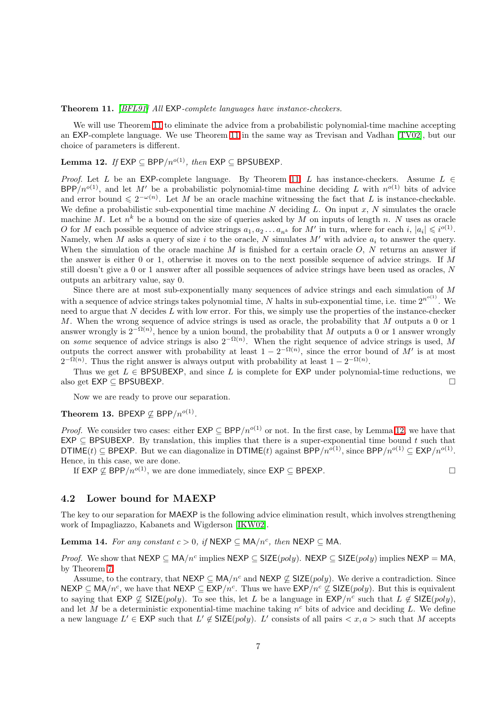#### Theorem 11. [\[BFL91\]](#page-9-6) All EXP-complete languages have instance-checkers.

We will use Theorem [11](#page-5-1) to eliminate the advice from a probabilistic polynomial-time machine accepting an EXP-complete language. We use Theorem [11](#page-5-1) in the same way as Trevisan and Vadhan [\[TV02\]](#page-10-8), but our choice of parameters is different.

### <span id="page-6-0"></span>Lemma 12. If EXP ⊂ BPP/ $n^{o(1)}$ , then EXP ⊂ BPSUBEXP.

*Proof.* Let L be an EXP-complete language. By Theorem [11,](#page-5-1) L has instance-checkers. Assume  $L \in$  $BPP/n^{o(1)}$ , and let M' be a probabilistic polynomial-time machine deciding L with  $n^{o(1)}$  bits of advice and error bound  $\leq 2^{-\omega(n)}$ . Let M be an oracle machine witnessing the fact that L is instance-checkable. We define a probabilistic sub-exponential time machine  $N$  deciding  $L$ . On input  $x, N$  simulates the oracle machine M. Let  $n^k$  be a bound on the size of queries asked by M on inputs of length n. N uses as oracle O for M each possible sequence of advice strings  $a_1, a_2 \ldots a_{n^k}$  for M' in turn, where for each i,  $|a_i| \leq i^{o(1)}$ . Namely, when M asks a query of size i to the oracle, N simulates  $M'$  with advice  $a_i$  to answer the query. When the simulation of the oracle machine  $M$  is finished for a certain oracle  $O, N$  returns an answer if the answer is either 0 or 1, otherwise it moves on to the next possible sequence of advice strings. If M still doesn't give a 0 or 1 answer after all possible sequences of advice strings have been used as oracles, N outputs an arbitrary value, say 0.

Since there are at most sub-exponentially many sequences of advice strings and each simulation of M with a sequence of advice strings takes polynomial time, N halts in sub-exponential time, i.e. time  $2^{n^{o(1)}}$ . We need to argue that  $N$  decides  $L$  with low error. For this, we simply use the properties of the instance-checker M. When the wrong sequence of advice strings is used as oracle, the probability that M outputs a 0 or 1 answer wrongly is  $2^{-\Omega(n)}$ , hence by a union bound, the probability that M outputs a 0 or 1 answer wrongly on some sequence of advice strings is also  $2^{-\Omega(n)}$ . When the right sequence of advice strings is used, M outputs the correct answer with probability at least  $1 - 2^{-\Omega(n)}$ , since the error bound of M' is at most  $2^{-\Omega(n)}$ . Thus the right answer is always output with probability at least  $1 - 2^{-\Omega(n)}$ .

Thus we get  $L \in \mathsf{BPSUBEXP}$ , and since L is complete for  $\mathsf{EXP}$  under polynomial-time reductions, we also get EXP ⊆ BPSUBEXP.

Now we are ready to prove our separation.

### <span id="page-6-2"></span>Theorem 13. BPEXP  $\nsubseteq$  BPP/ $n^{o(1)}$ .

*Proof.* We consider two cases: either  $EXP \subseteq BPP/n^{o(1)}$  or not. In the first case, by Lemma [12,](#page-6-0) we have that  $EXP \subseteq BPSUBEXP$ . By translation, this implies that there is a super-exponential time bound t such that DTIME(t)  $\subseteq$  BPEXP. But we can diagonalize in DTIME(t) against BPP/ $n^{o(1)}$ , since BPP/ $n^{o(1)} \subseteq$  EXP/ $n^{o(1)}$ . Hence, in this case, we are done.

If EXP  $\varphi$  BPP/ $n^{o(1)}$ , we are done immediately, since EXP ⊂ BPEXP.

### 4.2 Lower bound for MAEXP

<span id="page-6-1"></span>The key to our separation for MAEXP is the following advice elimination result, which involves strengthening work of Impagliazzo, Kabanets and Wigderson [\[IKW02\]](#page-10-1).

**Lemma 14.** For any constant  $c > 0$ , if  $NEXP \subseteq MA/n^c$ , then  $NEXP \subseteq MA$ .

*Proof.* We show that  $NEXP \subseteq MA/n^c$  implies  $NEXP \subseteq SIZE(poly)$ .  $NEXP \subseteq SIZE(poly)$  implies  $NEXP = MA$ , by Theorem [7.](#page-4-1)

Assume, to the contrary, that NEXP  $\subseteq MA/n^c$  and NEXP  $\nsubseteq$  SIZE(*poly*). We derive a contradiction. Since  $NEXP \subseteq MA/n^c$ , we have that  $NEXP \subseteq EXP/n^c$ . Thus we have  $EXP/n^c \nsubseteq SIZE(poly)$ . But this is equivalent to saying that  $EXP \not\subseteq SIZE(poly)$ . To see this, let L be a language in  $EXP/n^c$  such that  $L \not\in SIZE(poly)$ , and let M be a deterministic exponential-time machine taking  $n^c$  bits of advice and deciding L. We define a new language  $L' \in \textsf{EXP}$  such that  $L' \notin \textsf{SIZE}(poly)$ . L' consists of all pairs  $\langle x, a \rangle$  such that M accepts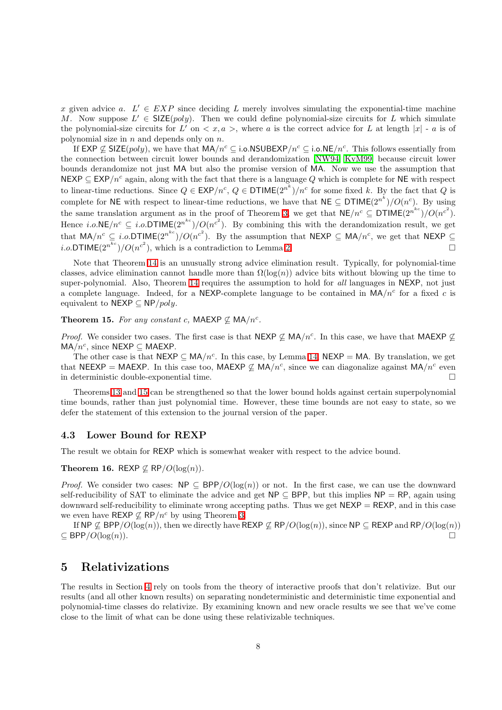x given advice a.  $L' \in EXP$  since deciding L merely involves simulating the exponential-time machine M. Now suppose  $L' \in \mathsf{SIZE}(poly)$ . Then we could define polynomial-size circuits for L which simulate the polynomial-size circuits for  $L'$  on  $\langle x, a \rangle$ , where a is the correct advice for L at length  $|x|$  - a is of polynomial size in  $n$  and depends only on  $n$ .

If EXP  $\nsubseteq$  SIZE(poly), we have that  $MA/n^c \subseteq$  i.o.NSUBEXP/ $n^c \subseteq$  i.o.NE/ $n^c$ . This follows essentially from the connection between circuit lower bounds and derandomization [\[NW94,](#page-10-9) [KvM99\]](#page-10-10) because circuit lower bounds derandomize not just MA but also the promise version of MA. Now we use the assumption that NEXP  $\subseteq$  EXP/n<sup>c</sup> again, along with the fact that there is a language Q which is complete for NE with respect to linear-time reductions. Since  $Q \in \textsf{EXP}/n^c$ ,  $Q \in \textsf{DTIME}(2^{n^k})/n^c$  for some fixed k. By the fact that Q is complete for NE with respect to linear-time reductions, we have that  $NE \subseteq DTIME(2^{n^k})/O(n^c)$ . By using the same translation argument as in the proof of Theorem [3,](#page-3-0) we get that  $NE/n^c \subseteq DTIME(2^{n^{kc}})/O(n^{c^2})$ . Hence *i.o.* NE/ $n^c \subseteq i.o.$  DTIME $(2^{n^{kc}})/O(n^{c^2})$ . By combining this with the derandomization result, we get that  $MA/n^c \subseteq i.o.DTIME(2^{n^{kc}})/O(n^{c^2})$ . By the assumption that NEXP  $\subseteq MA/n^c$ , we get that NEXP  $\subseteq$ *i.o.* DTIME $(2^{n^{kc}})/O(n^{c^2})$ , which is a contradiction to Lemma [2.](#page-2-3)

Note that Theorem [14](#page-6-1) is an unusually strong advice elimination result. Typically, for polynomial-time classes, advice elimination cannot handle more than  $\Omega(\log(n))$  advice bits without blowing up the time to super-polynomial. Also, Theorem [14](#page-6-1) requires the assumption to hold for all languages in NEXP, not just a complete language. Indeed, for a NEXP-complete language to be contained in  $MA/n^c$  for a fixed c is equivalent to NEXP  $\subseteq$  NP/poly.

<span id="page-7-1"></span>Theorem 15. For any constant c, MAEXP  $\nsubseteq$  MA/n<sup>c</sup>.

*Proof.* We consider two cases. The first case is that NEXP  $\nsubseteq$  MA/n<sup>c</sup>. In this case, we have that MAEXP  $\nsubseteq$  $MA/n^c$ , since NEXP  $\subseteq$  MAEXP.

The other case is that  $NEXP \subseteq MA/n^c$ . In this case, by Lemma [14,](#page-6-1)  $NEXP = MA$ . By translation, we get that NEEXP = MAEXP. In this case too, MAEXP  $\nsubseteq$  MA/n<sup>c</sup>, since we can diagonalize against MA/n<sup>c</sup> even in deterministic double-exponential time.

Theorems [13](#page-6-2) and [15](#page-7-1) can be strengthened so that the lower bound holds against certain superpolynomial time bounds, rather than just polynomial time. However, these time bounds are not easy to state, so we defer the statement of this extension to the journal version of the paper.

### 4.3 Lower Bound for REXP

The result we obtain for REXP which is somewhat weaker with respect to the advice bound.

#### Theorem 16. REXP  $\not\subset$  RP/ $O(\log(n))$ .

*Proof.* We consider two cases:  $NP \subseteq BPP/O(log(n))$  or not. In the first case, we can use the downward self-reducibility of SAT to eliminate the advice and get  $NP \subseteq BPP$ , but this implies  $NP = RP$ , again using downward self-reducibility to eliminate wrong accepting paths. Thus we get  $N \in \mathbb{R}^2$  = REXP, and in this case we even have REXP  $\not\subseteq$  RP/ $n^c$  by using Theorem [3.](#page-3-0)

If NP  $\nsubseteq$  BPP/ $O(\log(n))$ , then we directly have REXP  $\nsubseteq$  RP/ $O(\log(n))$ , since NP  $\subseteq$  REXP and RP/ $O(\log(n))$  $\subseteq$  BPP/ $O(\log(n))$ .

## <span id="page-7-0"></span>5 Relativizations

The results in Section [4](#page-5-0) rely on tools from the theory of interactive proofs that don't relativize. But our results (and all other known results) on separating nondeterministic and deterministic time exponential and polynomial-time classes do relativize. By examining known and new oracle results we see that we've come close to the limit of what can be done using these relativizable techniques.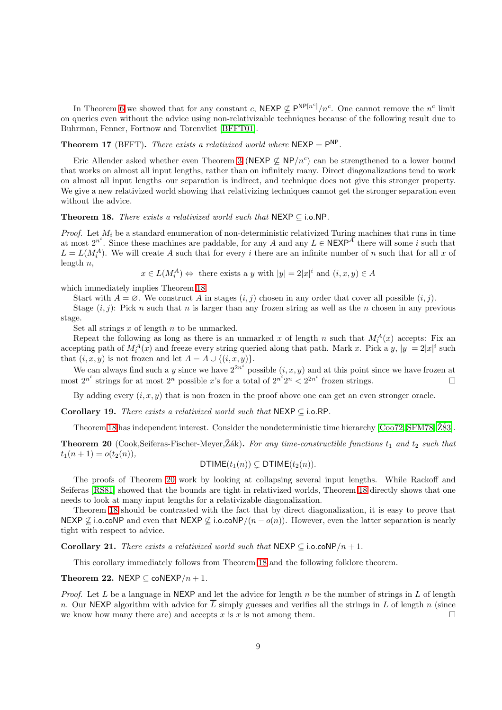In Theorem [6](#page-4-0) we showed that for any constant c,  $NEXP \nsubseteq P^{NP[n^c]}/n^c$ . One cannot remove the  $n^c$  limit on queries even without the advice using non-relativizable techniques because of the following result due to Buhrman, Fenner, Fortnow and Torenvliet [\[BFFT01\]](#page-9-11).

**Theorem 17** (BFFT). There exists a relativized world where  $NEXP = P^{NP}$ .

Eric Allender asked whether even Theorem [3](#page-3-0) (NEXP  $\nsubseteq$  NP/n<sup>c</sup>) can be strengthened to a lower bound that works on almost all input lengths, rather than on infinitely many. Direct diagonalizations tend to work on almost all input lengths–our separation is indirect, and technique does not give this stronger property. We give a new relativized world showing that relativizing techniques cannot get the stronger separation even without the advice.

### <span id="page-8-0"></span>Theorem 18. There exists a relativized world such that  $NEXP \subseteq i.o.NP$ .

*Proof.* Let  $M_i$  be a standard enumeration of non-deterministic relativized Turing machines that runs in time at most  $2^{n^i}$ . Since these machines are paddable, for any A and any  $L \in \mathsf{NEXP}^{\mathcal{A}}$  there will some i such that  $L = L(M_i^A)$ . We will create A such that for every i there are an infinite number of n such that for all x of length  $n$ ,

 $x \in L(M_i^A) \Leftrightarrow$  there exists a y with  $|y| = 2|x|^i$  and  $(i, x, y) \in A$ 

which immediately implies Theorem [18.](#page-8-0)

Start with  $A = \emptyset$ . We construct A in stages  $(i, j)$  chosen in any order that cover all possible  $(i, j)$ .

Stage  $(i, j)$ : Pick n such that n is larger than any frozen string as well as the n chosen in any previous stage.

Set all strings  $x$  of length  $n$  to be unmarked.

Repeat the following as long as there is an unmarked x of length n such that  $M_i^A(x)$  accepts: Fix an accepting path of  $M_i^A(x)$  and freeze every string queried along that path. Mark x. Pick a y,  $|y| = 2|x|^i$  such that  $(i, x, y)$  is not frozen and let  $A = A \cup \{(i, x, y)\}.$ 

We can always find such a y since we have  $2^{2n^i}$  possible  $(i, x, y)$  and at this point since we have frozen at most  $2^{n^i}$  strings for at most  $2^n$  possible x's for a total of  $2^{n^i}2^n < 2^{2n^i}$  frozen strings.

By adding every  $(i, x, y)$  that is non frozen in the proof above one can get an even stronger oracle.

Corollary 19. There exists a relativized world such that  $NEXP \subset i.o.RP$ .

Theorem [18](#page-8-0) has independent interest. Consider the nondeterministic time hierarchy  $[CoO72, SFM78, Z̃83]$  $[CoO72, SFM78, Z̃83]$  $[CoO72, SFM78, Z̃83]$ .

<span id="page-8-1"></span>**Theorem 20** (Cook,Seiferas-Fischer-Meyer,Žák). For any time-constructible functions  $t_1$  and  $t_2$  such that  $t_1(n+1) = o(t_2(n)),$ 

$$
\mathsf{DTIME}(t_1(n)) \subsetneq \mathsf{DTIME}(t_2(n)).
$$

The proofs of Theorem [20](#page-8-1) work by looking at collapsing several input lengths. While Rackoff and Seiferas [\[RS81\]](#page-10-11) showed that the bounds are tight in relativized worlds, Theorem [18](#page-8-0) directly shows that one needs to look at many input lengths for a relativizable diagonalization.

Theorem [18](#page-8-0) should be contrasted with the fact that by direct diagonalization, it is easy to prove that NEXP  $\varphi$  i.o.coNP and even that NEXP  $\varphi$  i.o.coNP/(n – o(n)). However, even the latter separation is nearly tight with respect to advice.

Corollary 21. There exists a relativized world such that NEXP  $\subseteq$  i.o.coNP/n + 1.

This corollary immediately follows from Theorem [18](#page-8-0) and the following folklore theorem.

Theorem 22. NEXP  $\subset$  coNEXP/ $n + 1$ .

*Proof.* Let  $L$  be a language in NEXP and let the advice for length  $n$  be the number of strings in  $L$  of length n. Our NEXP algorithm with advice for  $\overline{L}$  simply guesses and verifies all the strings in L of length n (since we know how many there are) and accepts x is x is not among them.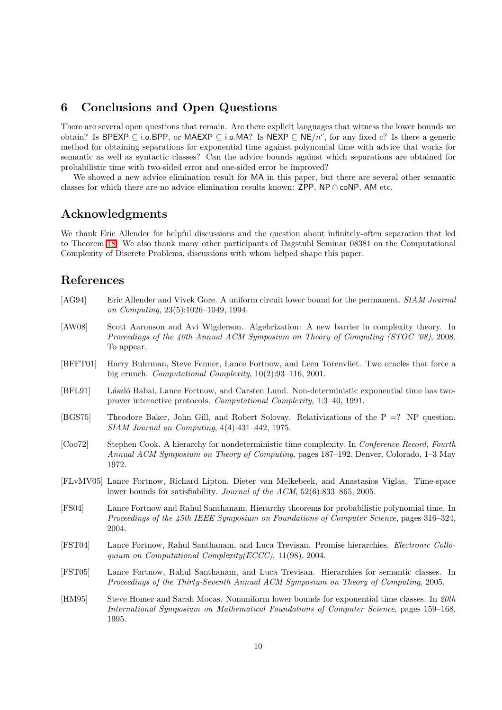## <span id="page-9-7"></span>6 Conclusions and Open Questions

There are several open questions that remain. Are there explicit languages that witness the lower bounds we obtain? Is BPEXP  $\subseteq$  i.o.BPP, or MAEXP  $\subseteq$  i.o.MA? Is NEXP  $\subseteq$  NE/n<sup>c</sup>, for any fixed c? Is there a generic method for obtaining separations for exponential time against polynomial time with advice that works for semantic as well as syntactic classes? Can the advice bounds against which separations are obtained for probabilistic time with two-sided error and one-sided error be improved?

We showed a new advice elimination result for MA in this paper, but there are several other semantic classes for which there are no advice elimination results known: ZPP, NP ∩ coNP, AM etc.

## Acknowledgments

We thank Eric Allender for helpful discussions and the question about infinitely-often separation that led to Theorem [18.](#page-8-0) We also thank many other participants of Dagstuhl Seminar 08381 on the Computational Complexity of Discrete Problems, discussions with whom helped shape this paper.

## <span id="page-9-2"></span>References

- [AG94] Eric Allender and Vivek Gore. A uniform circuit lower bound for the permanent. SIAM Journal on Computing, 23(5):1026–1049, 1994.
- <span id="page-9-1"></span>[AW08] Scott Aaronson and Avi Wigderson. Algebrization: A new barrier in complexity theory. In Proceedings of the 40th Annual ACM Symposium on Theory of Computing (STOC '08), 2008. To appear.
- <span id="page-9-11"></span>[BFFT01] Harry Buhrman, Steve Fenner, Lance Fortnow, and Leen Torenvliet. Two oracles that force a big crunch. Computational Complexity, 10(2):93–116, 2001.
- <span id="page-9-6"></span>[BFL91] László Babai, Lance Fortnow, and Carsten Lund. Non-deterministic exponential time has twoprover interactive protocols. Computational Complexity, 1:3–40, 1991.
- <span id="page-9-0"></span>[BGS75] Theodore Baker, John Gill, and Robert Solovay. Relativizations of the P =? NP question. SIAM Journal on Computing, 4(4):431–442, 1975.
- <span id="page-9-8"></span>[Coo72] Stephen Cook. A hierarchy for nondeterministic time complexity. In Conference Record, Fourth Annual ACM Symposium on Theory of Computing, pages 187–192, Denver, Colorado, 1–3 May 1972.
- <span id="page-9-3"></span>[FLvMV05] Lance Fortnow, Richard Lipton, Dieter van Melkebeek, and Anastasios Viglas. Time-space lower bounds for satisfiability. Journal of the ACM, 52(6):833–865, 2005.
- <span id="page-9-4"></span>[FS04] Lance Fortnow and Rahul Santhanam. Hierarchy theorems for probabilistic polynomial time. In Proceedings of the 45th IEEE Symposium on Foundations of Computer Science, pages 316–324, 2004.
- <span id="page-9-10"></span>[FST04] Lance Fortnow, Rahul Santhanam, and Luca Trevisan. Promise hierarchies. Electronic Colloquium on Computational Complexity(ECCC), 11(98), 2004.
- <span id="page-9-5"></span>[FST05] Lance Fortnow, Rahul Santhanam, and Luca Trevisan. Hierarchies for semantic classes. In Proceedings of the Thirty-Seventh Annual ACM Symposium on Theory of Computing, 2005.
- <span id="page-9-9"></span>[HM95] Steve Homer and Sarah Mocas. Nonuniform lower bounds for exponential time classes. In 20th International Symposium on Mathematical Foundations of Computer Science, pages 159–168, 1995.